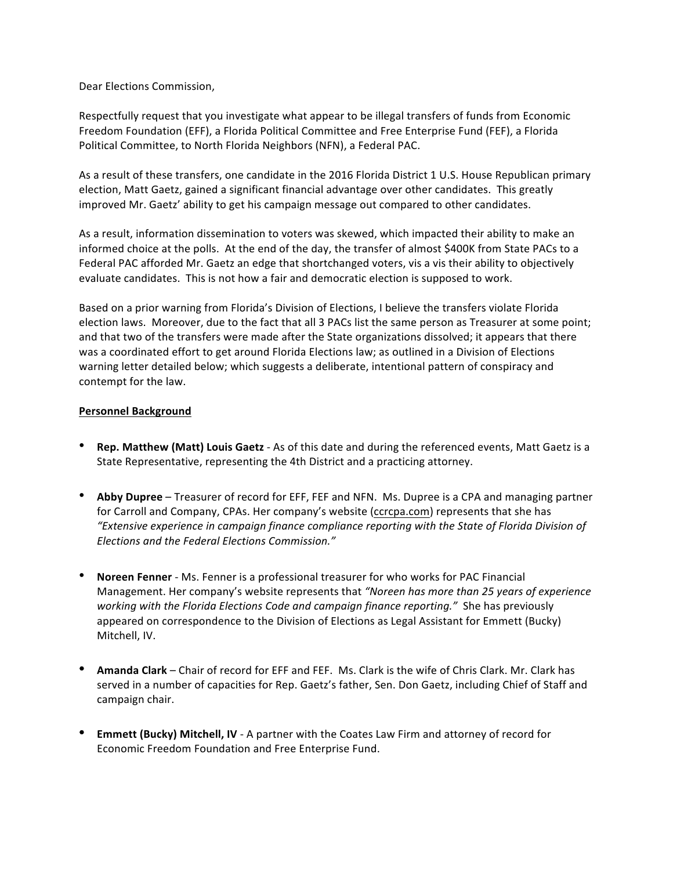Dear Elections Commission,

Respectfully request that you investigate what appear to be illegal transfers of funds from Economic Freedom Foundation (EFF), a Florida Political Committee and Free Enterprise Fund (FEF), a Florida Political Committee, to North Florida Neighbors (NFN), a Federal PAC.

As a result of these transfers, one candidate in the 2016 Florida District 1 U.S. House Republican primary election, Matt Gaetz, gained a significant financial advantage over other candidates. This greatly improved Mr. Gaetz' ability to get his campaign message out compared to other candidates. 

As a result, information dissemination to voters was skewed, which impacted their ability to make an informed choice at the polls. At the end of the day, the transfer of almost \$400K from State PACs to a Federal PAC afforded Mr. Gaetz an edge that shortchanged voters, vis a vis their ability to objectively evaluate candidates. This is not how a fair and democratic election is supposed to work.

Based on a prior warning from Florida's Division of Elections, I believe the transfers violate Florida election laws. Moreover, due to the fact that all 3 PACs list the same person as Treasurer at some point; and that two of the transfers were made after the State organizations dissolved; it appears that there was a coordinated effort to get around Florida Elections law; as outlined in a Division of Elections warning letter detailed below; which suggests a deliberate, intentional pattern of conspiracy and contempt for the law.

### **Personnel Background**

- **Rep. Matthew (Matt) Louis Gaetz** As of this date and during the referenced events, Matt Gaetz is a State Representative, representing the 4th District and a practicing attorney.
- **Abby Dupree** Treasurer of record for EFF, FEF and NFN. Ms. Dupree is a CPA and managing partner for Carroll and Company, CPAs. Her company's website (ccrcpa.com) represents that she has *"Extensive experience in campaign finance compliance reporting with the State of Florida Division of Elections and the Federal Elections Commission."*
- **Noreen Fenner** Ms. Fenner is a professional treasurer for who works for PAC Financial Management. Her company's website represents that *"Noreen has more than 25 years of experience working with the Florida Elections Code and campaign finance reporting."* She has previously appeared on correspondence to the Division of Elections as Legal Assistant for Emmett (Bucky) Mitchell, IV.
- **Amanda Clark** Chair of record for EFF and FEF. Ms. Clark is the wife of Chris Clark. Mr. Clark has served in a number of capacities for Rep. Gaetz's father, Sen. Don Gaetz, including Chief of Staff and campaign chair.
- **Emmett (Bucky) Mitchell, IV** A partner with the Coates Law Firm and attorney of record for Economic Freedom Foundation and Free Enterprise Fund.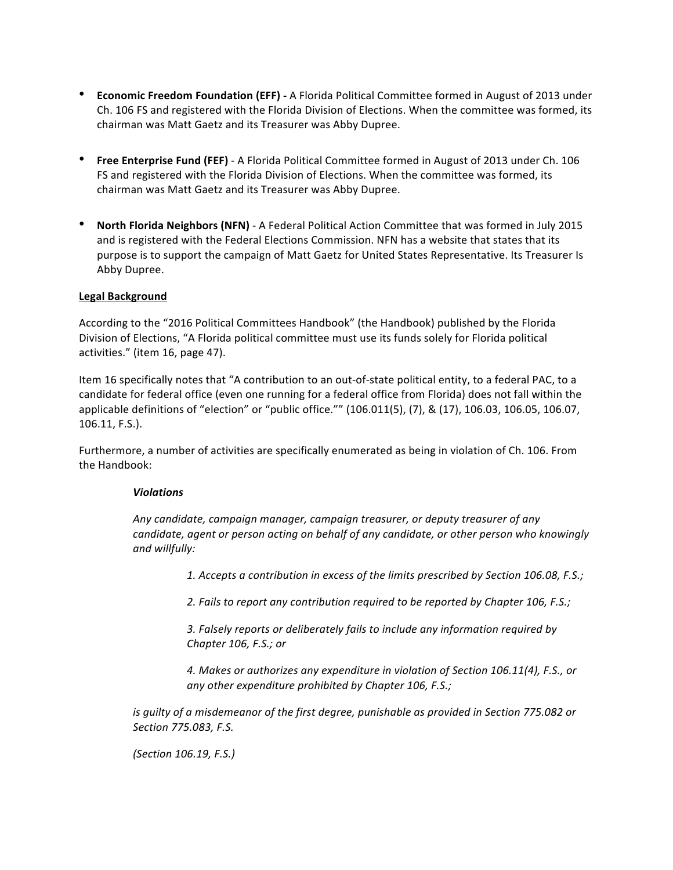- **Economic Freedom Foundation (EFF) -** A Florida Political Committee formed in August of 2013 under Ch. 106 FS and registered with the Florida Division of Elections. When the committee was formed, its chairman was Matt Gaetz and its Treasurer was Abby Dupree.
- **Free Enterprise Fund (FEF)** A Florida Political Committee formed in August of 2013 under Ch. 106 FS and registered with the Florida Division of Elections. When the committee was formed, its chairman was Matt Gaetz and its Treasurer was Abby Dupree.
- **North Florida Neighbors (NFN)** A Federal Political Action Committee that was formed in July 2015 and is registered with the Federal Elections Commission. NFN has a website that states that its purpose is to support the campaign of Matt Gaetz for United States Representative. Its Treasurer Is Abby Dupree.

## **Legal Background**

According to the "2016 Political Committees Handbook" (the Handbook) published by the Florida Division of Elections, "A Florida political committee must use its funds solely for Florida political activities." (item 16, page 47).

Item 16 specifically notes that "A contribution to an out-of-state political entity, to a federal PAC, to a candidate for federal office (even one running for a federal office from Florida) does not fall within the applicable definitions of "election" or "public office."" (106.011(5), (7), & (17), 106.03, 106.05, 106.07, 106.11, F.S.).

Furthermore, a number of activities are specifically enumerated as being in violation of Ch. 106. From the Handbook:

#### *Violations*

*Any candidate, campaign manager, campaign treasurer, or deputy treasurer of any candidate, agent or person acting on behalf of any candidate, or other person who knowingly and willfully:*

*1. Accepts a contribution in excess of the limits prescribed by Section 106.08, F.S.;*

*2. Fails to report any contribution required to be reported by Chapter 106, F.S.;*

*3. Falsely reports or deliberately fails to include any information required by Chapter 106, F.S.; or*

*4. Makes or authorizes any expenditure in violation of Section 106.11(4), F.S., or any other expenditure prohibited by Chapter 106, F.S.;*

*is guilty of a misdemeanor of the first degree, punishable as provided in Section 775.082 or Section 775.083, F.S.*

*(Section 106.19, F.S.)*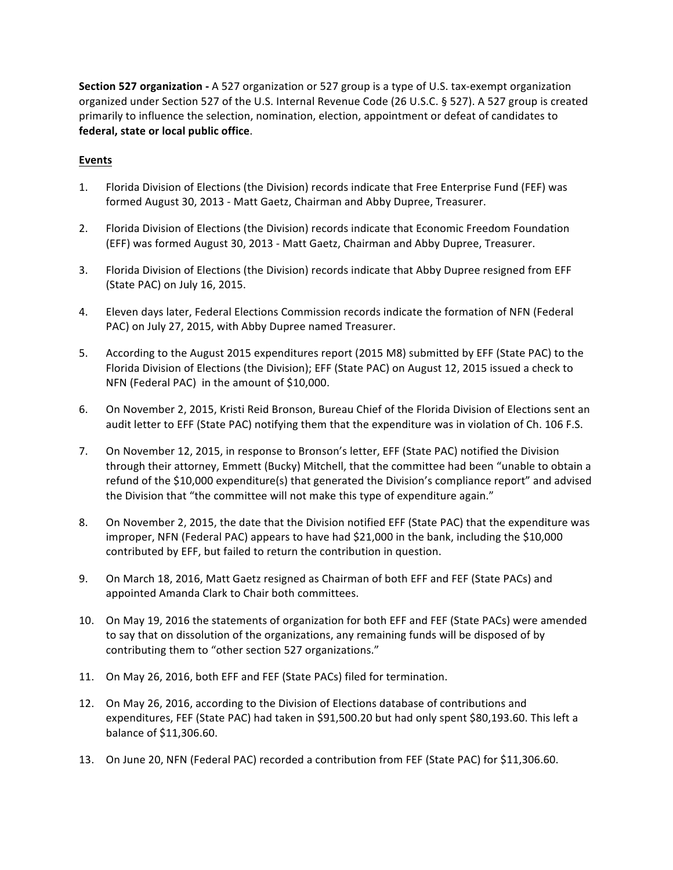**Section 527 organization -** A 527 organization or 527 group is a type of U.S. tax-exempt organization organized under Section 527 of the U.S. Internal Revenue Code (26 U.S.C. § 527). A 527 group is created primarily to influence the selection, nomination, election, appointment or defeat of candidates to **federal, state or local public office**.

# **Events**

- 1. Florida Division of Elections (the Division) records indicate that Free Enterprise Fund (FEF) was formed August 30, 2013 - Matt Gaetz, Chairman and Abby Dupree, Treasurer.
- 2. Florida Division of Elections (the Division) records indicate that Economic Freedom Foundation (EFF) was formed August 30, 2013 - Matt Gaetz, Chairman and Abby Dupree, Treasurer.
- 3. Florida Division of Elections (the Division) records indicate that Abby Dupree resigned from EFF (State PAC) on July 16, 2015.
- 4. Eleven days later, Federal Elections Commission records indicate the formation of NFN (Federal PAC) on July 27, 2015, with Abby Dupree named Treasurer.
- 5. According to the August 2015 expenditures report (2015 M8) submitted by EFF (State PAC) to the Florida Division of Elections (the Division); EFF (State PAC) on August 12, 2015 issued a check to NFN (Federal PAC) in the amount of \$10,000.
- 6. On November 2, 2015, Kristi Reid Bronson, Bureau Chief of the Florida Division of Elections sent an audit letter to EFF (State PAC) notifying them that the expenditure was in violation of Ch. 106 F.S.
- 7. On November 12, 2015, in response to Bronson's letter, EFF (State PAC) notified the Division through their attorney, Emmett (Bucky) Mitchell, that the committee had been "unable to obtain a refund of the \$10,000 expenditure(s) that generated the Division's compliance report" and advised the Division that "the committee will not make this type of expenditure again."
- 8. On November 2, 2015, the date that the Division notified EFF (State PAC) that the expenditure was improper, NFN (Federal PAC) appears to have had \$21,000 in the bank, including the \$10,000 contributed by EFF, but failed to return the contribution in question.
- 9. On March 18, 2016, Matt Gaetz resigned as Chairman of both EFF and FEF (State PACs) and appointed Amanda Clark to Chair both committees.
- 10. On May 19, 2016 the statements of organization for both EFF and FEF (State PACs) were amended to say that on dissolution of the organizations, any remaining funds will be disposed of by contributing them to "other section 527 organizations."
- 11. On May 26, 2016, both EFF and FEF (State PACs) filed for termination.
- 12. On May 26, 2016, according to the Division of Elections database of contributions and expenditures, FEF (State PAC) had taken in \$91,500.20 but had only spent \$80,193.60. This left a balance of \$11,306.60.
- 13. On June 20, NFN (Federal PAC) recorded a contribution from FEF (State PAC) for \$11,306.60.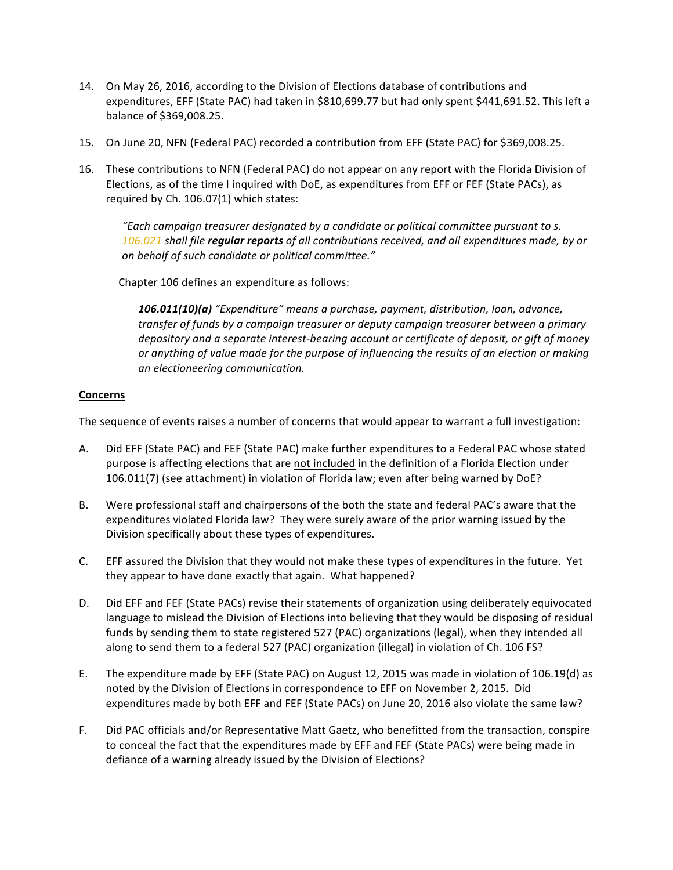- 14. On May 26, 2016, according to the Division of Elections database of contributions and expenditures, EFF (State PAC) had taken in \$810,699.77 but had only spent \$441,691.52. This left a balance of \$369,008.25.
- 15. On June 20, NFN (Federal PAC) recorded a contribution from EFF (State PAC) for \$369,008.25.
- 16. These contributions to NFN (Federal PAC) do not appear on any report with the Florida Division of Elections, as of the time I inquired with DoE, as expenditures from EFF or FEF (State PACs), as required by Ch. 106.07(1) which states:

*"Each campaign treasurer designated by a candidate or political committee pursuant to s. 106.021 shall file regular reports of all contributions received, and all expenditures made, by or on behalf of such candidate or political committee."*

Chapter 106 defines an expenditure as follows:

*106.011(10)(a) "Expenditure" means a purchase, payment, distribution, loan, advance, transfer of funds by a campaign treasurer or deputy campaign treasurer between a primary depository and a separate interest-bearing account or certificate of deposit, or gift of money or anything of value made for the purpose of influencing the results of an election or making an electioneering communication.*

#### **Concerns**

The sequence of events raises a number of concerns that would appear to warrant a full investigation:

- A. Did EFF (State PAC) and FEF (State PAC) make further expenditures to a Federal PAC whose stated purpose is affecting elections that are not included in the definition of a Florida Election under 106.011(7) (see attachment) in violation of Florida law; even after being warned by DoE?
- B. Were professional staff and chairpersons of the both the state and federal PAC's aware that the expenditures violated Florida law? They were surely aware of the prior warning issued by the Division specifically about these types of expenditures.
- C. EFF assured the Division that they would not make these types of expenditures in the future. Yet they appear to have done exactly that again. What happened?
- D. Did EFF and FEF (State PACs) revise their statements of organization using deliberately equivocated language to mislead the Division of Elections into believing that they would be disposing of residual funds by sending them to state registered 527 (PAC) organizations (legal), when they intended all along to send them to a federal 527 (PAC) organization (illegal) in violation of Ch. 106 FS?
- E. The expenditure made by EFF (State PAC) on August 12, 2015 was made in violation of 106.19(d) as noted by the Division of Elections in correspondence to EFF on November 2, 2015. Did expenditures made by both EFF and FEF (State PACs) on June 20, 2016 also violate the same law?
- F. Did PAC officials and/or Representative Matt Gaetz, who benefitted from the transaction, conspire to conceal the fact that the expenditures made by EFF and FEF (State PACs) were being made in defiance of a warning already issued by the Division of Elections?